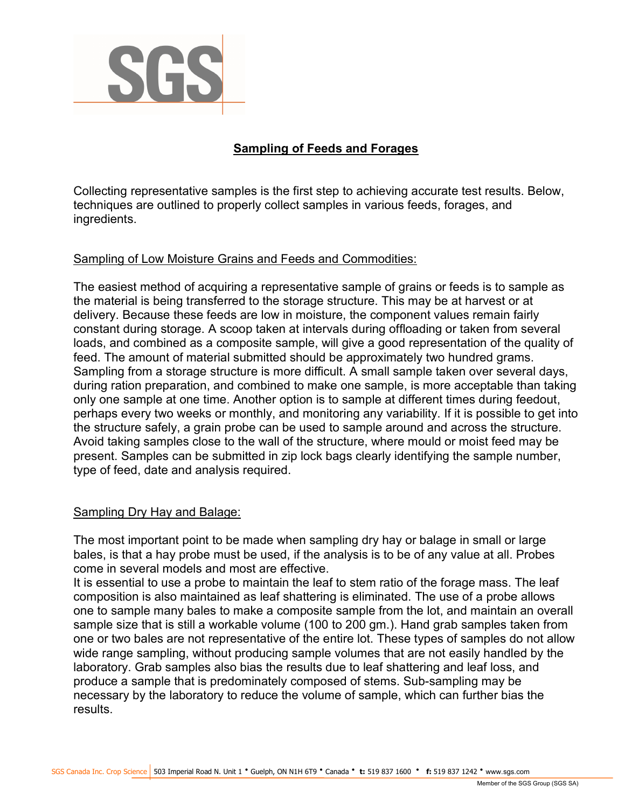

# Sampling of Feeds and Forages

Collecting representative samples is the first step to achieving accurate test results. Below, techniques are outlined to properly collect samples in various feeds, forages, and ingredients.

# Sampling of Low Moisture Grains and Feeds and Commodities:

The easiest method of acquiring a representative sample of grains or feeds is to sample as the material is being transferred to the storage structure. This may be at harvest or at delivery. Because these feeds are low in moisture, the component values remain fairly constant during storage. A scoop taken at intervals during offloading or taken from several loads, and combined as a composite sample, will give a good representation of the quality of feed. The amount of material submitted should be approximately two hundred grams. Sampling from a storage structure is more difficult. A small sample taken over several days, during ration preparation, and combined to make one sample, is more acceptable than taking only one sample at one time. Another option is to sample at different times during feedout, perhaps every two weeks or monthly, and monitoring any variability. If it is possible to get into the structure safely, a grain probe can be used to sample around and across the structure. Avoid taking samples close to the wall of the structure, where mould or moist feed may be present. Samples can be submitted in zip lock bags clearly identifying the sample number, type of feed, date and analysis required.

## Sampling Dry Hay and Balage:

The most important point to be made when sampling dry hay or balage in small or large bales, is that a hay probe must be used, if the analysis is to be of any value at all. Probes come in several models and most are effective.

It is essential to use a probe to maintain the leaf to stem ratio of the forage mass. The leaf composition is also maintained as leaf shattering is eliminated. The use of a probe allows one to sample many bales to make a composite sample from the lot, and maintain an overall sample size that is still a workable volume (100 to 200 gm.). Hand grab samples taken from one or two bales are not representative of the entire lot. These types of samples do not allow wide range sampling, without producing sample volumes that are not easily handled by the laboratory. Grab samples also bias the results due to leaf shattering and leaf loss, and produce a sample that is predominately composed of stems. Sub-sampling may be necessary by the laboratory to reduce the volume of sample, which can further bias the results.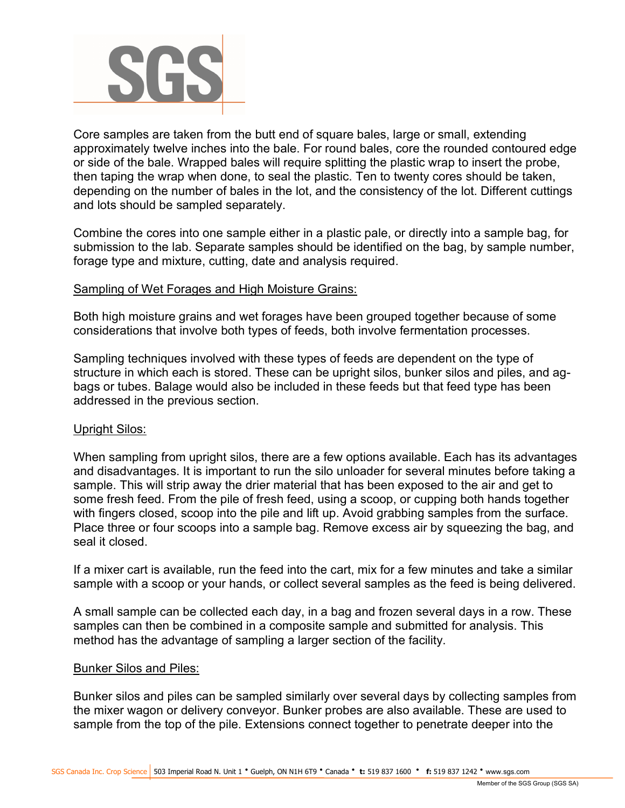

Core samples are taken from the butt end of square bales, large or small, extending approximately twelve inches into the bale. For round bales, core the rounded contoured edge or side of the bale. Wrapped bales will require splitting the plastic wrap to insert the probe, then taping the wrap when done, to seal the plastic. Ten to twenty cores should be taken, depending on the number of bales in the lot, and the consistency of the lot. Different cuttings and lots should be sampled separately.

Combine the cores into one sample either in a plastic pale, or directly into a sample bag, for submission to the lab. Separate samples should be identified on the bag, by sample number, forage type and mixture, cutting, date and analysis required.

#### Sampling of Wet Forages and High Moisture Grains:

Both high moisture grains and wet forages have been grouped together because of some considerations that involve both types of feeds, both involve fermentation processes.

Sampling techniques involved with these types of feeds are dependent on the type of structure in which each is stored. These can be upright silos, bunker silos and piles, and agbags or tubes. Balage would also be included in these feeds but that feed type has been addressed in the previous section.

#### Upright Silos:

When sampling from upright silos, there are a few options available. Each has its advantages and disadvantages. It is important to run the silo unloader for several minutes before taking a sample. This will strip away the drier material that has been exposed to the air and get to some fresh feed. From the pile of fresh feed, using a scoop, or cupping both hands together with fingers closed, scoop into the pile and lift up. Avoid grabbing samples from the surface. Place three or four scoops into a sample bag. Remove excess air by squeezing the bag, and seal it closed.

If a mixer cart is available, run the feed into the cart, mix for a few minutes and take a similar sample with a scoop or your hands, or collect several samples as the feed is being delivered.

A small sample can be collected each day, in a bag and frozen several days in a row. These samples can then be combined in a composite sample and submitted for analysis. This method has the advantage of sampling a larger section of the facility.

#### Bunker Silos and Piles:

Bunker silos and piles can be sampled similarly over several days by collecting samples from the mixer wagon or delivery conveyor. Bunker probes are also available. These are used to sample from the top of the pile. Extensions connect together to penetrate deeper into the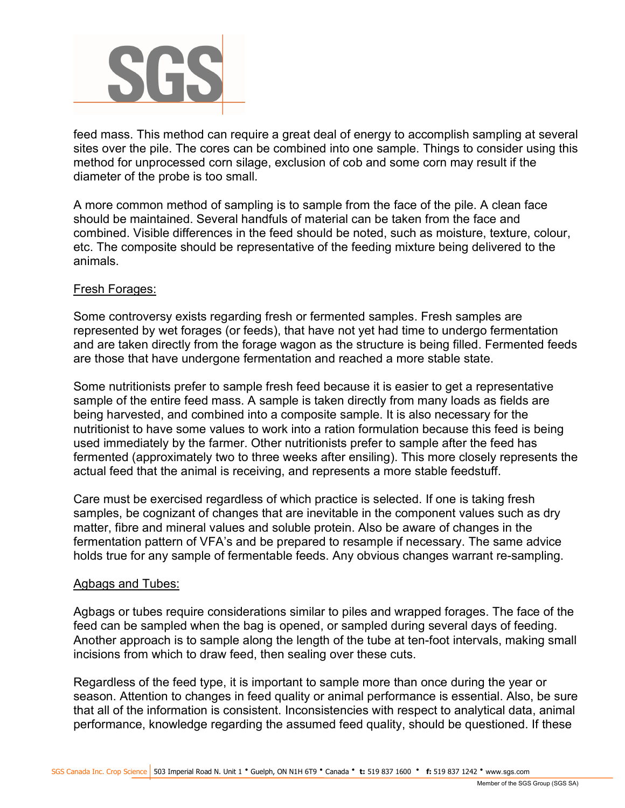

feed mass. This method can require a great deal of energy to accomplish sampling at several sites over the pile. The cores can be combined into one sample. Things to consider using this method for unprocessed corn silage, exclusion of cob and some corn may result if the diameter of the probe is too small.

A more common method of sampling is to sample from the face of the pile. A clean face should be maintained. Several handfuls of material can be taken from the face and combined. Visible differences in the feed should be noted, such as moisture, texture, colour, etc. The composite should be representative of the feeding mixture being delivered to the animals.

### Fresh Forages:

Some controversy exists regarding fresh or fermented samples. Fresh samples are represented by wet forages (or feeds), that have not yet had time to undergo fermentation and are taken directly from the forage wagon as the structure is being filled. Fermented feeds are those that have undergone fermentation and reached a more stable state.

Some nutritionists prefer to sample fresh feed because it is easier to get a representative sample of the entire feed mass. A sample is taken directly from many loads as fields are being harvested, and combined into a composite sample. It is also necessary for the nutritionist to have some values to work into a ration formulation because this feed is being used immediately by the farmer. Other nutritionists prefer to sample after the feed has fermented (approximately two to three weeks after ensiling). This more closely represents the actual feed that the animal is receiving, and represents a more stable feedstuff.

Care must be exercised regardless of which practice is selected. If one is taking fresh samples, be cognizant of changes that are inevitable in the component values such as dry matter, fibre and mineral values and soluble protein. Also be aware of changes in the fermentation pattern of VFA's and be prepared to resample if necessary. The same advice holds true for any sample of fermentable feeds. Any obvious changes warrant re-sampling.

#### Agbags and Tubes:

Agbags or tubes require considerations similar to piles and wrapped forages. The face of the feed can be sampled when the bag is opened, or sampled during several days of feeding. Another approach is to sample along the length of the tube at ten-foot intervals, making small incisions from which to draw feed, then sealing over these cuts.

Regardless of the feed type, it is important to sample more than once during the year or season. Attention to changes in feed quality or animal performance is essential. Also, be sure that all of the information is consistent. Inconsistencies with respect to analytical data, animal performance, knowledge regarding the assumed feed quality, should be questioned. If these